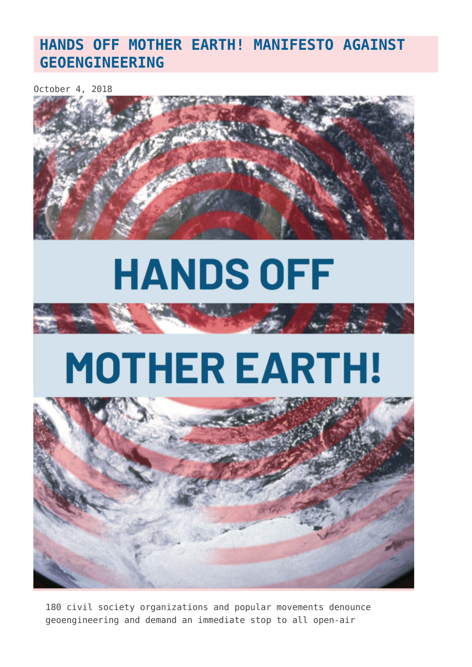### **[HANDS OFF MOTHER EARTH! MANIFESTO AGAINST](https://www.geoengineeringmonitor.org/2018/10/hands-off-mother-earth-manifesto-against-geoengineering/) [GEOENGINEERING](https://www.geoengineeringmonitor.org/2018/10/hands-off-mother-earth-manifesto-against-geoengineering/)**

October 4, 2018



# **HANDS OFF**



# **MOTHER EARTH!**



180 civil society organizations and popular movements denounce geoengineering and demand an immediate stop to all open-air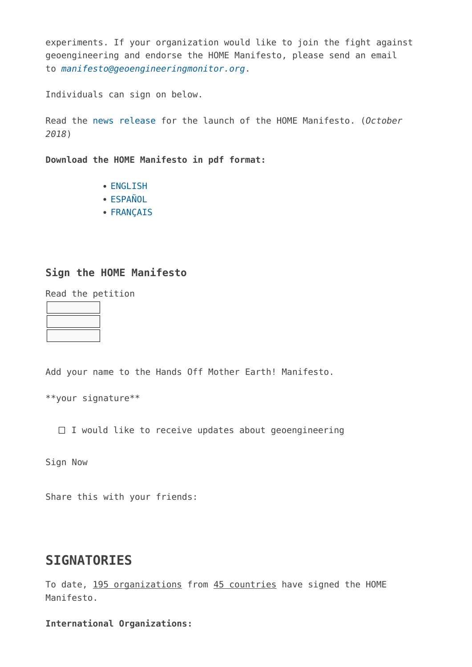experiments. If your organization would like to join the fight against geoengineering and endorse the HOME Manifesto, please send an email to *[manifesto@geoengineeringmonitor.org](mailto:manifesto@geoengineeringmonitor.org)*.

Individuals can sign on below.

Read the [news release](http://www.geoengineeringmonitor.org/2018/10/news-release-hands-off-mother-earth-110-civil-society-organizations-and-popular-movements-demand-an-immediate-stop-to-climate-geoengineering/) for the launch of the HOME Manifesto. (*October 2018*)

**Download the HOME Manifesto in pdf format:**

- [ENGLISH](http://www.geoengineeringmonitor.org/wp-content/uploads/2018/10/home-new-EN-feb6.pdf)
- [ESPAÑOL](http://www.geoengineeringmonitor.org/wp-content/uploads/2018/10/home-new-ES-feb6.pdf)
- [FRANÇAIS](http://www.geoengineeringmonitor.org/wp-content/uploads/2018/10/home-new-FR-feb6.pdf)

#### **Sign the HOME Manifesto**

|  | Read the petition |
|--|-------------------|
|  |                   |
|  |                   |
|  |                   |

Add your name to the Hands Off Mother Earth! Manifesto.

\*\*your signature\*\*

 $\Box$  I would like to receive updates about geoengineering

Sign Now

Share this with your friends:

#### **SIGNATORIES**

To date, 195 organizations from 45 countries have signed the HOME Manifesto.

**International Organizations:**